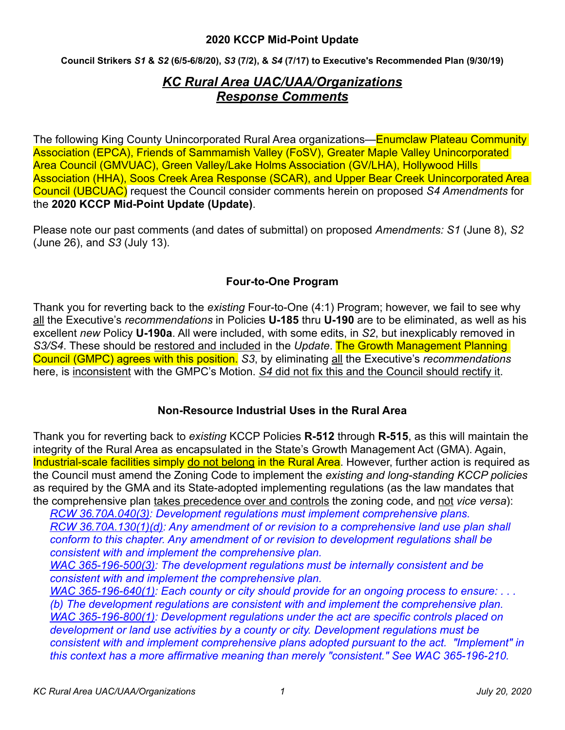**Council Strikers** *S1* **&** *S2* **(6/5-6/8/20),** *S3* **(7/2), &** *S4* **(7/17) to Executive's Recommended Plan (9/30/19)** 

# *KC Rural Area UAC/UAA/Organizations Response Comments*

The following King County Unincorporated Rural Area organizations—Enumclaw Plateau Community Association (EPCA), Friends of Sammamish Valley (FoSV), Greater Maple Valley Unincorporated Area Council (GMVUAC), Green Valley/Lake Holms Association (GV/LHA), Hollywood Hills Association (HHA), Soos Creek Area Response (SCAR), and Upper Bear Creek Unincorporated Area Council (UBCUAC) request the Council consider comments herein on proposed *S4 Amendments* for the **2020 KCCP Mid-Point Update (Update)**.

Please note our past comments (and dates of submittal) on proposed *Amendments: S1* (June 8), *S2* (June 26), and *S3* (July 13).

### **Four-to-One Program**

Thank you for reverting back to the *existing* Four-to-One (4:1) Program; however, we fail to see why all the Executive's *recommendations* in Policies **U-185** thru **U-190** are to be eliminated, as well as his excellent *new* Policy **U-190a**. All were included, with some edits, in *S2*, but inexplicably removed in *S3/S4*. These should be restored and included in the *Update*. The Growth Management Planning Council (GMPC) agrees with this position. *S3*, by eliminating all the Executive's *recommendations* here, is inconsistent with the GMPC's Motion. *S4* did not fix this and the Council should rectify it.

### **Non-Resource Industrial Uses in the Rural Area**

Thank you for reverting back to *existing* KCCP Policies **R-512** through **R-515**, as this will maintain the integrity of the Rural Area as encapsulated in the State's Growth Management Act (GMA). Again, Industrial-scale facilities simply do not belong in the Rural Area. However, further action is required as the Council must amend the Zoning Code to implement the *existing and long-standing KCCP policies* as required by the GMA and its State-adopted implementing regulations (as the law mandates that the comprehensive plan takes precedence over and controls the zoning code, and not *vice versa*):

*RCW 36.70A.040(3): Development regulations must implement comprehensive plans. RCW 36.70A.130(1)(d): Any amendment of or revision to a comprehensive land use plan shall conform to this chapter. Any amendment of or revision to development regulations shall be consistent with and implement the comprehensive plan.* 

*WAC 365-196-500(3): The development regulations must be internally consistent and be consistent with and implement the comprehensive plan.* 

*WAC 365-196-640(1): Each county or city should provide for an ongoing process to ensure: . . . (b) The development regulations are consistent with and implement the comprehensive plan. WAC 365-196-800(1): Development regulations under the act are specific controls placed on development or land use activities by a county or city. Development regulations must be consistent with and implement comprehensive plans adopted pursuant to the act. "Implement" in this context has a more affirmative meaning than merely "consistent." See WAC 365-196-210.*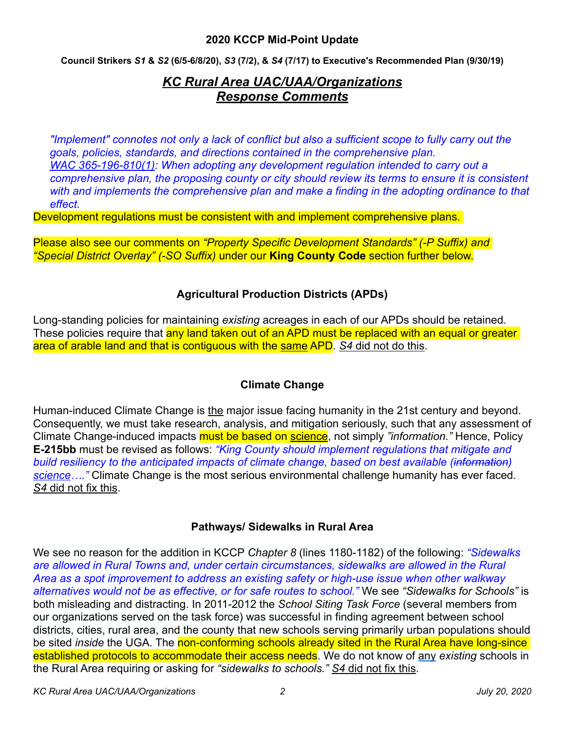**Council Strikers** *S1* **&** *S2* **(6/5-6/8/20),** *S3* **(7/2), &** *S4* **(7/17) to Executive's Recommended Plan (9/30/19)** 

# *KC Rural Area UAC/UAA/Organizations Response Comments*

*"Implement" connotes not only a lack of conflict but also a sufficient scope to fully carry out the goals, policies, standards, and directions contained in the comprehensive plan. WAC 365-196-810(1): When adopting any development regulation intended to carry out a comprehensive plan, the proposing county or city should review its terms to ensure it is consistent with and implements the comprehensive plan and make a finding in the adopting ordinance to that effect.*

Development regulations must be consistent with and implement comprehensive plans.

Please also see our comments on *"Property Specific Development Standards" (-P Suffix) and "Special District Overlay" (-SO Suffix)* under our **King County Code** section further below.

## **Agricultural Production Districts (APDs)**

Long-standing policies for maintaining *existing* acreages in each of our APDs should be retained. These policies require that any land taken out of an APD must be replaced with an equal or greater area of arable land and that is contiguous with the same APD. *S4* did not do this.

## **Climate Change**

Human-induced Climate Change is the major issue facing humanity in the 21st century and beyond. Consequently, we must take research, analysis, and mitigation seriously, such that any assessment of Climate Change-induced impacts must be based on science, not simply *"information."* Hence, Policy **E-215bb** must be revised as follows: *"King County should implement regulations that mitigate and build resiliency to the anticipated impacts of climate change, based on best available (information) science…."* Climate Change is the most serious environmental challenge humanity has ever faced. *S4* did not fix this.

### **Pathways/ Sidewalks in Rural Area**

We see no reason for the addition in KCCP *Chapter 8* (lines 1180-1182) of the following: *"Sidewalks are allowed in Rural Towns and, under certain circumstances, sidewalks are allowed in the Rural Area as a spot improvement to address an existing safety or high-use issue when other walkway alternatives would not be as effective, or for safe routes to school."* We see *"Sidewalks for Schools"* is both misleading and distracting. In 2011-2012 the *School Siting Task Force* (several members from our organizations served on the task force) was successful in finding agreement between school districts, cities, rural area, and the county that new schools serving primarily urban populations should be sited *inside* the UGA. The non-conforming schools already sited in the Rural Area have long-since established protocols to accommodate their access needs. We do not know of any *existing* schools in the Rural Area requiring or asking for *"sidewalks to schools." S4* did not fix this.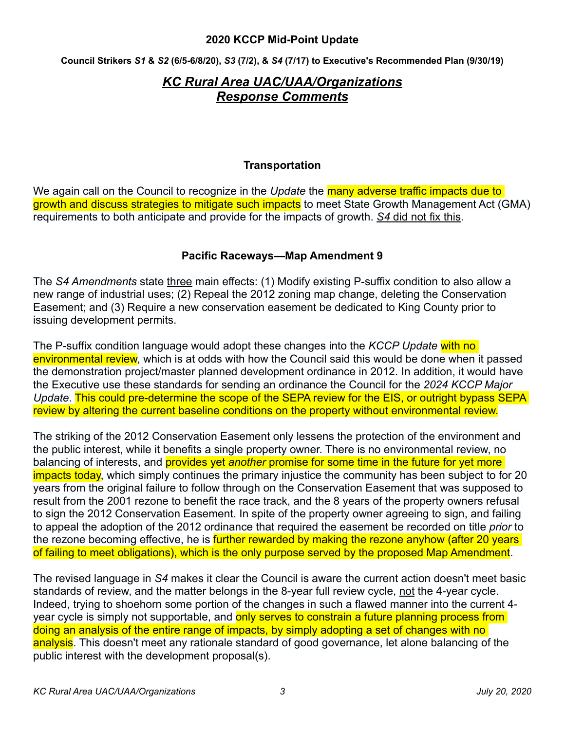**Council Strikers** *S1* **&** *S2* **(6/5-6/8/20),** *S3* **(7/2), &** *S4* **(7/17) to Executive's Recommended Plan (9/30/19)** 

## *KC Rural Area UAC/UAA/Organizations Response Comments*

#### **Transportation**

We again call on the Council to recognize in the *Update* the many adverse traffic impacts due to growth and discuss strategies to mitigate such impacts to meet State Growth Management Act (GMA) requirements to both anticipate and provide for the impacts of growth. *S4* did not fix this.

#### **Pacific Raceways—Map Amendment 9**

The *S4 Amendments* state three main effects: (1) Modify existing P-suffix condition to also allow a new range of industrial uses; (2) Repeal the 2012 zoning map change, deleting the Conservation Easement; and (3) Require a new conservation easement be dedicated to King County prior to issuing development permits.

The P-suffix condition language would adopt these changes into the *KCCP Update* with no environmental review, which is at odds with how the Council said this would be done when it passed the demonstration project/master planned development ordinance in 2012. In addition, it would have the Executive use these standards for sending an ordinance the Council for the *2024 KCCP Major Update*. This could pre-determine the scope of the SEPA review for the EIS, or outright bypass SEPA review by altering the current baseline conditions on the property without environmental review.

The striking of the 2012 Conservation Easement only lessens the protection of the environment and the public interest, while it benefits a single property owner. There is no environmental review, no balancing of interests, and provides yet *another* promise for some time in the future for yet more impacts today, which simply continues the primary injustice the community has been subject to for 20 years from the original failure to follow through on the Conservation Easement that was supposed to result from the 2001 rezone to benefit the race track, and the 8 years of the property owners refusal to sign the 2012 Conservation Easement. In spite of the property owner agreeing to sign, and failing to appeal the adoption of the 2012 ordinance that required the easement be recorded on title *prior* to the rezone becoming effective, he is further rewarded by making the rezone anyhow (after 20 years of failing to meet obligations), which is the only purpose served by the proposed Map Amendment.

The revised language in *S4* makes it clear the Council is aware the current action doesn't meet basic standards of review, and the matter belongs in the 8-year full review cycle, not the 4-year cycle. Indeed, trying to shoehorn some portion of the changes in such a flawed manner into the current 4 year cycle is simply not supportable, and only serves to constrain a future planning process from doing an analysis of the entire range of impacts, by simply adopting a set of changes with no analysis. This doesn't meet any rationale standard of good governance, let alone balancing of the public interest with the development proposal(s).